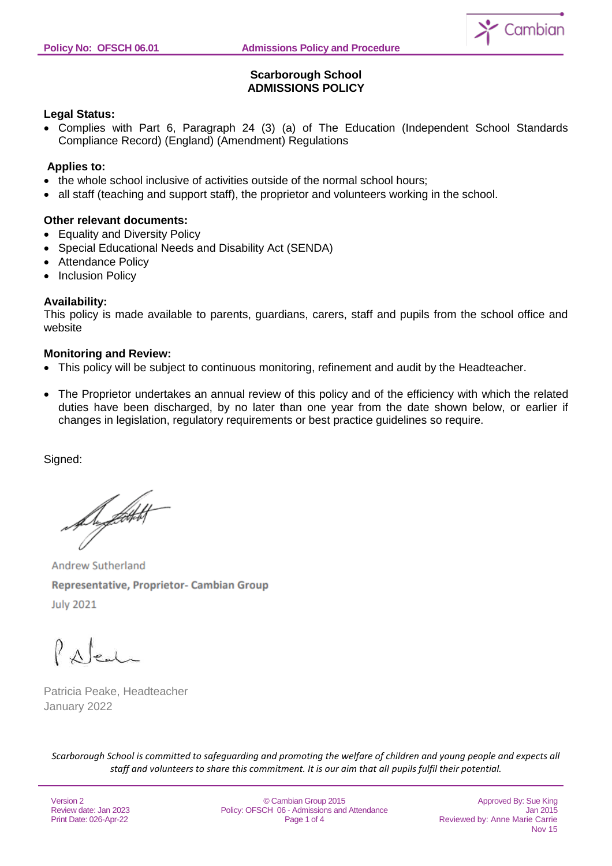

# **Scarborough School ADMISSIONS POLICY**

### **Legal Status:**

• Complies with Part 6, Paragraph 24 (3) (a) of The Education (Independent School Standards Compliance Record) (England) (Amendment) Regulations

## **Applies to:**

- the whole school inclusive of activities outside of the normal school hours;
- all staff (teaching and support staff), the proprietor and volunteers working in the school.

## **Other relevant documents:**

- Equality and Diversity Policy
- Special Educational Needs and Disability Act (SENDA)
- Attendance Policy
- Inclusion Policy

## **Availability:**

This policy is made available to parents, guardians, carers, staff and pupils from the school office and website

### **Monitoring and Review:**

- This policy will be subject to continuous monitoring, refinement and audit by the Headteacher.
- The Proprietor undertakes an annual review of this policy and of the efficiency with which the related duties have been discharged, by no later than one year from the date shown below, or earlier if changes in legislation, regulatory requirements or best practice guidelines so require.

Signed:

Superfield

**Andrew Sutherland** Representative, Proprietor- Cambian Group **July 2021** 

Patricia Peake, Headteacher January 2022

*Scarborough School is committed to safeguarding and promoting the welfare of children and young people and expects all staff and volunteers to share this commitment. It is our aim that all pupils fulfil their potential.*

Version 2 Review date: Jan 2023 Print Date: 026-Apr-22

© Cambian Group 2015 Policy: OFSCH 06 - Admissions and Attendance Page 1 of 4

Approved By: Sue King Jan 2015 Reviewed by: Anne Marie Carrie Nov 15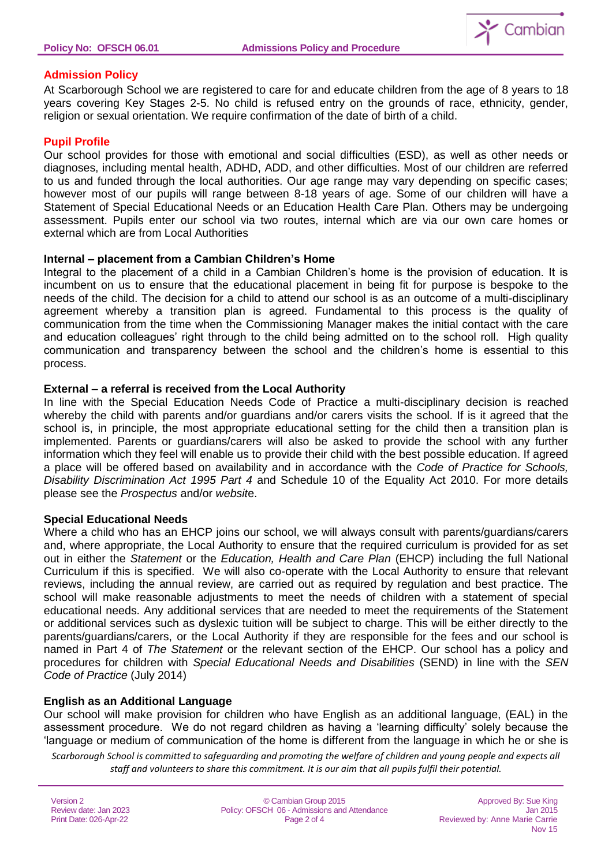

## **Admission Policy**

At Scarborough School we are registered to care for and educate children from the age of 8 years to 18 years covering Key Stages 2-5. No child is refused entry on the grounds of race, ethnicity, gender, religion or sexual orientation. We require confirmation of the date of birth of a child.

#### **Pupil Profile**

Our school provides for those with emotional and social difficulties (ESD), as well as other needs or diagnoses, including mental health, ADHD, ADD, and other difficulties. Most of our children are referred to us and funded through the local authorities. Our age range may vary depending on specific cases; however most of our pupils will range between 8-18 years of age. Some of our children will have a Statement of Special Educational Needs or an Education Health Care Plan. Others may be undergoing assessment. Pupils enter our school via two routes, internal which are via our own care homes or external which are from Local Authorities

#### **Internal – placement from a Cambian Children's Home**

Integral to the placement of a child in a Cambian Children's home is the provision of education. It is incumbent on us to ensure that the educational placement in being fit for purpose is bespoke to the needs of the child. The decision for a child to attend our school is as an outcome of a multi-disciplinary agreement whereby a transition plan is agreed. Fundamental to this process is the quality of communication from the time when the Commissioning Manager makes the initial contact with the care and education colleagues' right through to the child being admitted on to the school roll. High quality communication and transparency between the school and the children's home is essential to this process.

#### **External – a referral is received from the Local Authority**

In line with the Special Education Needs Code of Practice a multi-disciplinary decision is reached whereby the child with parents and/or guardians and/or carers visits the school. If is it agreed that the school is, in principle, the most appropriate educational setting for the child then a transition plan is implemented. Parents or guardians/carers will also be asked to provide the school with any further information which they feel will enable us to provide their child with the best possible education. If agreed a place will be offered based on availability and in accordance with the *Code of Practice for Schools, Disability Discrimination Act 1995 Part 4* and Schedule 10 of the Equality Act 2010. For more details please see the *Prospectus* and/or *websit*e.

#### **Special Educational Needs**

Where a child who has an EHCP joins our school, we will always consult with parents/guardians/carers and, where appropriate, the Local Authority to ensure that the required curriculum is provided for as set out in either the *Statement* or the *Education, Health and Care Plan* (EHCP) including the full National Curriculum if this is specified. We will also co-operate with the Local Authority to ensure that relevant reviews, including the annual review, are carried out as required by regulation and best practice. The school will make reasonable adjustments to meet the needs of children with a statement of special educational needs. Any additional services that are needed to meet the requirements of the Statement or additional services such as dyslexic tuition will be subject to charge. This will be either directly to the parents/guardians/carers, or the Local Authority if they are responsible for the fees and our school is named in Part 4 of *The Statement* or the relevant section of the EHCP. Our school has a policy and procedures for children with *Special Educational Needs and Disabilities* (SEND) in line with the *SEN Code of Practice* (July 2014)

### **English as an Additional Language**

Our school will make provision for children who have English as an additional language, (EAL) in the assessment procedure. We do not regard children as having a 'learning difficulty' solely because the 'language or medium of communication of the home is different from the language in which he or she is

*Scarborough School is committed to safeguarding and promoting the welfare of children and young people and expects all staff and volunteers to share this commitment. It is our aim that all pupils fulfil their potential.*

| Version 2                                       | © Cambian Group 2015<br>Policy: OFSCH 06 - Admissions and Attendance |  |
|-------------------------------------------------|----------------------------------------------------------------------|--|
| Review date: Jan 2023<br>Print Date: 026-Apr-22 | Page 2 of 4                                                          |  |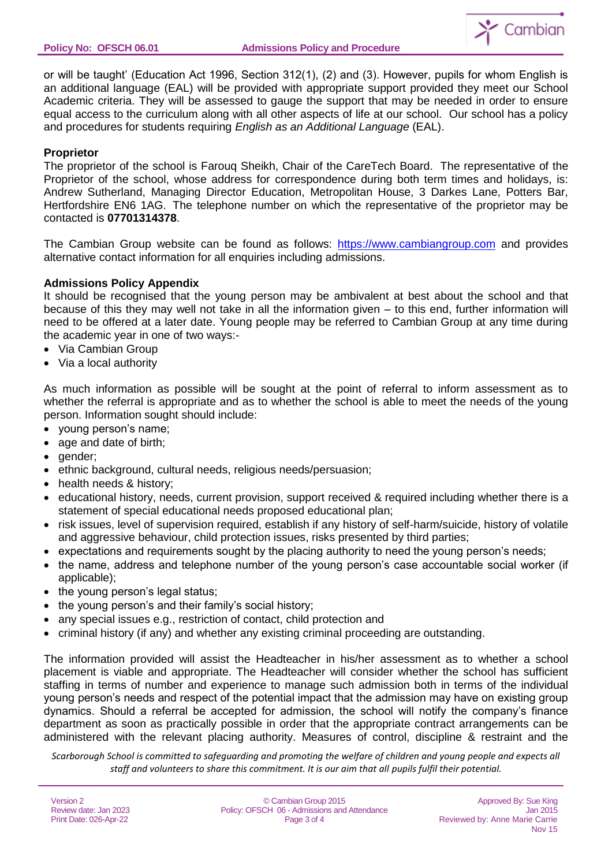

Nov 15

or will be taught' (Education Act 1996, Section 312(1), (2) and (3). However, pupils for whom English is an additional language (EAL) will be provided with appropriate support provided they meet our School Academic criteria. They will be assessed to gauge the support that may be needed in order to ensure equal access to the curriculum along with all other aspects of life at our school. Our school has a policy and procedures for students requiring *English as an Additional Language* (EAL).

## **Proprietor**

The proprietor of the school is Farouq Sheikh, Chair of the CareTech Board. The representative of the Proprietor of the school, whose address for correspondence during both term times and holidays, is: Andrew Sutherland, Managing Director Education, Metropolitan House, 3 Darkes Lane, Potters Bar, Hertfordshire EN6 1AG. The telephone number on which the representative of the proprietor may be contacted is **07701314378**.

The Cambian Group website can be found as follows: [https://www.cambiangroup.com](https://www.cambiangroup.com/) and provides alternative contact information for all enquiries including admissions.

## **Admissions Policy Appendix**

It should be recognised that the young person may be ambivalent at best about the school and that because of this they may well not take in all the information given – to this end, further information will need to be offered at a later date. Young people may be referred to Cambian Group at any time during the academic year in one of two ways:-

- Via Cambian Group
- Via a local authority

As much information as possible will be sought at the point of referral to inform assessment as to whether the referral is appropriate and as to whether the school is able to meet the needs of the young person. Information sought should include:

- young person's name;
- age and date of birth;
- gender;
- ethnic background, cultural needs, religious needs/persuasion;
- health needs & history;
- educational history, needs, current provision, support received & required including whether there is a statement of special educational needs proposed educational plan;
- risk issues, level of supervision required, establish if any history of self-harm/suicide, history of volatile and aggressive behaviour, child protection issues, risks presented by third parties;
- expectations and requirements sought by the placing authority to need the young person's needs;
- the name, address and telephone number of the young person's case accountable social worker (if applicable);
- the young person's legal status;
- the young person's and their family's social history:
- any special issues e.g., restriction of contact, child protection and
- criminal history (if any) and whether any existing criminal proceeding are outstanding.

The information provided will assist the Headteacher in his/her assessment as to whether a school placement is viable and appropriate. The Headteacher will consider whether the school has sufficient staffing in terms of number and experience to manage such admission both in terms of the individual young person's needs and respect of the potential impact that the admission may have on existing group dynamics. Should a referral be accepted for admission, the school will notify the company's finance department as soon as practically possible in order that the appropriate contract arrangements can be administered with the relevant placing authority. Measures of control, discipline & restraint and the

*Scarborough School is committed to safeguarding and promoting the welfare of children and young people and expects all staff and volunteers to share this commitment. It is our aim that all pupils fulfil their potential.*

| Version 2              | © Cambian Group 2015                         | Approved By: Sue King          |
|------------------------|----------------------------------------------|--------------------------------|
| Review date: Jan 2023  | Policy: OFSCH 06 - Admissions and Attendance | Jan 2015                       |
| Print Date: 026-Apr-22 | Page 3 of 4                                  | Reviewed by: Anne Marie Carrie |
|                        |                                              | Nov 15                         |